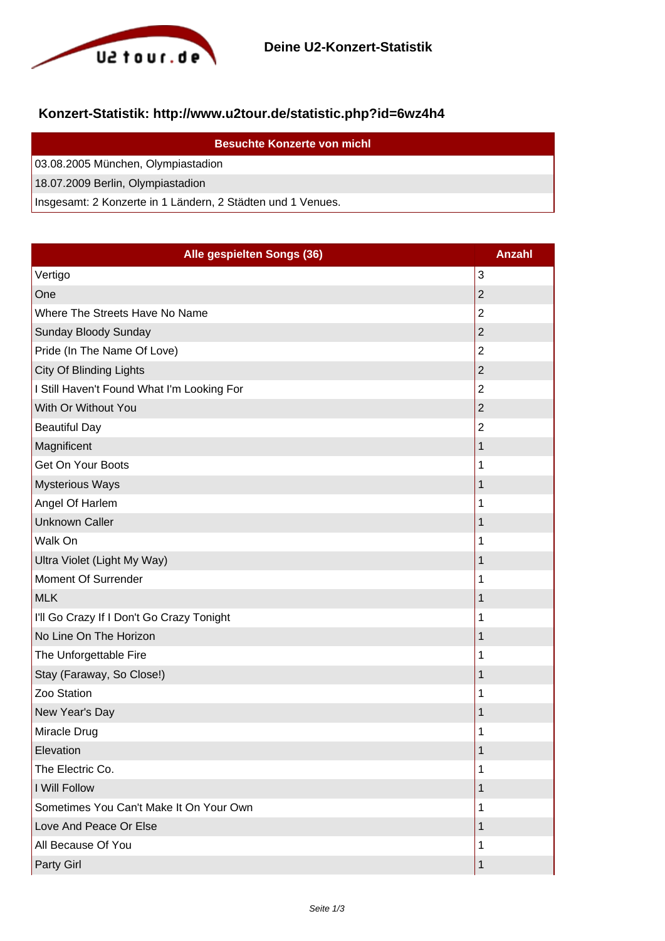

## **Konzert-Statistik: http://www.u2tour.de/statistic.php?id=6wz4h4**

| <b>Besuchte Konzerte von michl</b>                          |
|-------------------------------------------------------------|
| 03.08.2005 München, Olympiastadion                          |
| 18.07.2009 Berlin, Olympiastadion                           |
| Insgesamt: 2 Konzerte in 1 Ländern, 2 Städten und 1 Venues. |

| Alle gespielten Songs (36)                 | <b>Anzahl</b>  |
|--------------------------------------------|----------------|
| Vertigo                                    | 3              |
| One                                        | $\overline{2}$ |
| Where The Streets Have No Name             | 2              |
| Sunday Bloody Sunday                       | $\overline{2}$ |
| Pride (In The Name Of Love)                | 2              |
| City Of Blinding Lights                    | $\overline{2}$ |
| I Still Haven't Found What I'm Looking For | $\overline{2}$ |
| With Or Without You                        | $\overline{2}$ |
| <b>Beautiful Day</b>                       | 2              |
| Magnificent                                | 1              |
| Get On Your Boots                          | 1              |
| <b>Mysterious Ways</b>                     | 1              |
| Angel Of Harlem                            | 1              |
| <b>Unknown Caller</b>                      | $\mathbf 1$    |
| Walk On                                    | 1              |
| Ultra Violet (Light My Way)                | 1              |
| Moment Of Surrender                        | 1              |
| <b>MLK</b>                                 | 1              |
| I'll Go Crazy If I Don't Go Crazy Tonight  | 1              |
| No Line On The Horizon                     | 1              |
| The Unforgettable Fire                     | 1              |
| Stay (Faraway, So Close!)                  | 1              |
| Zoo Station                                | 1              |
| New Year's Day                             | 1              |
| Miracle Drug                               | 1              |
| Elevation                                  | 1              |
| The Electric Co.                           | 1              |
| I Will Follow                              | 1              |
| Sometimes You Can't Make It On Your Own    | 1              |
| Love And Peace Or Else                     | 1              |
| All Because Of You                         | 1              |
| Party Girl                                 | $\mathbf 1$    |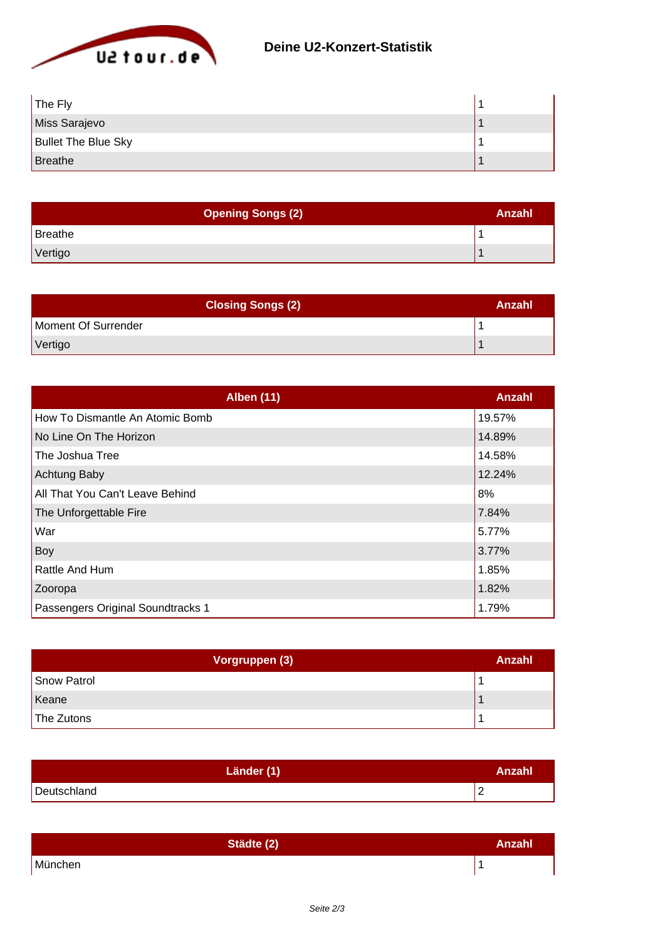

| The Fly                    |  |
|----------------------------|--|
| Miss Sarajevo              |  |
| <b>Bullet The Blue Sky</b> |  |
| Breathe                    |  |

| <b>Opening Songs (2)</b> | Anzahl |
|--------------------------|--------|
| Breathe                  |        |
| Vertigo                  |        |

| <b>Closing Songs (2)</b> | Anzahl |
|--------------------------|--------|
| Moment Of Surrender      |        |
| Vertigo                  |        |

| <b>Alben (11)</b>                 | Anzahl |
|-----------------------------------|--------|
| How To Dismantle An Atomic Bomb   | 19.57% |
| No Line On The Horizon            | 14.89% |
| The Joshua Tree                   | 14.58% |
| Achtung Baby                      | 12.24% |
| All That You Can't Leave Behind   | 8%     |
| The Unforgettable Fire            | 7.84%  |
| War                               | 5.77%  |
| Boy                               | 3.77%  |
| Rattle And Hum                    | 1.85%  |
| Zooropa                           | 1.82%  |
| Passengers Original Soundtracks 1 | 1.79%  |

| Vorgruppen (3) | Anzahl |
|----------------|--------|
| Snow Patrol    |        |
| Keane          |        |
| The Zutons     |        |

| Länder (1)  | Anzahl |
|-------------|--------|
| Deutschland | -      |

| Städte (2) | Anzahl |
|------------|--------|
| München    |        |